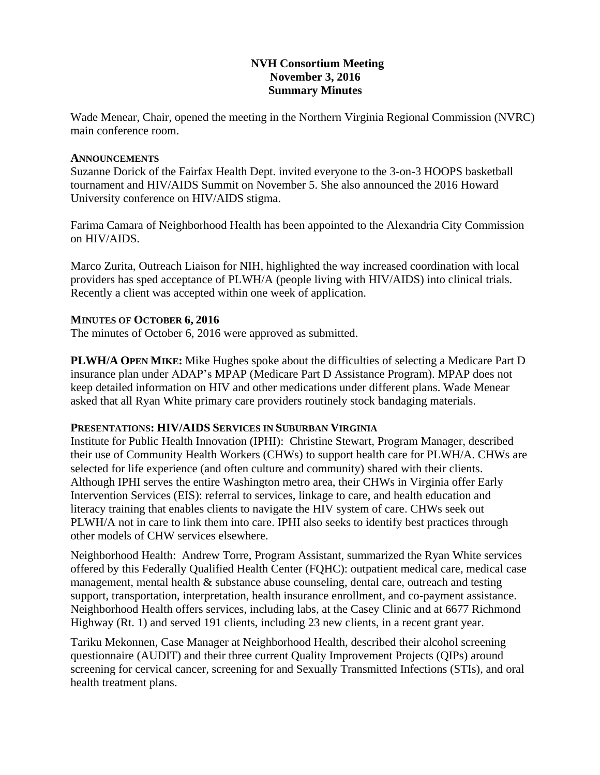## **NVH Consortium Meeting November 3, 2016 Summary Minutes**

Wade Menear, Chair, opened the meeting in the Northern Virginia Regional Commission (NVRC) main conference room.

### **ANNOUNCEMENTS**

Suzanne Dorick of the Fairfax Health Dept. invited everyone to the 3-on-3 HOOPS basketball tournament and HIV/AIDS Summit on November 5. She also announced the 2016 Howard University conference on HIV/AIDS stigma.

Farima Camara of Neighborhood Health has been appointed to the Alexandria City Commission on HIV/AIDS.

Marco Zurita, Outreach Liaison for NIH, highlighted the way increased coordination with local providers has sped acceptance of PLWH/A (people living with HIV/AIDS) into clinical trials. Recently a client was accepted within one week of application.

## **MINUTES OF OCTOBER 6, 2016**

The minutes of October 6, 2016 were approved as submitted.

**PLWH/A OPEN MIKE:** Mike Hughes spoke about the difficulties of selecting a Medicare Part D insurance plan under ADAP's MPAP (Medicare Part D Assistance Program). MPAP does not keep detailed information on HIV and other medications under different plans. Wade Menear asked that all Ryan White primary care providers routinely stock bandaging materials.

## **PRESENTATIONS: HIV/AIDS SERVICES IN SUBURBAN VIRGINIA**

Institute for Public Health Innovation (IPHI): Christine Stewart, Program Manager, described their use of Community Health Workers (CHWs) to support health care for PLWH/A. CHWs are selected for life experience (and often culture and community) shared with their clients. Although IPHI serves the entire Washington metro area, their CHWs in Virginia offer Early Intervention Services (EIS): referral to services, linkage to care, and health education and literacy training that enables clients to navigate the HIV system of care. CHWs seek out PLWH/A not in care to link them into care. IPHI also seeks to identify best practices through other models of CHW services elsewhere.

Neighborhood Health: Andrew Torre, Program Assistant, summarized the Ryan White services offered by this Federally Qualified Health Center (FQHC): outpatient medical care, medical case management, mental health & substance abuse counseling, dental care, outreach and testing support, transportation, interpretation, health insurance enrollment, and co-payment assistance. Neighborhood Health offers services, including labs, at the Casey Clinic and at 6677 Richmond Highway (Rt. 1) and served 191 clients, including 23 new clients, in a recent grant year.

Tariku Mekonnen, Case Manager at Neighborhood Health, described their alcohol screening questionnaire (AUDIT) and their three current Quality Improvement Projects (QIPs) around screening for cervical cancer, screening for and Sexually Transmitted Infections (STIs), and oral health treatment plans.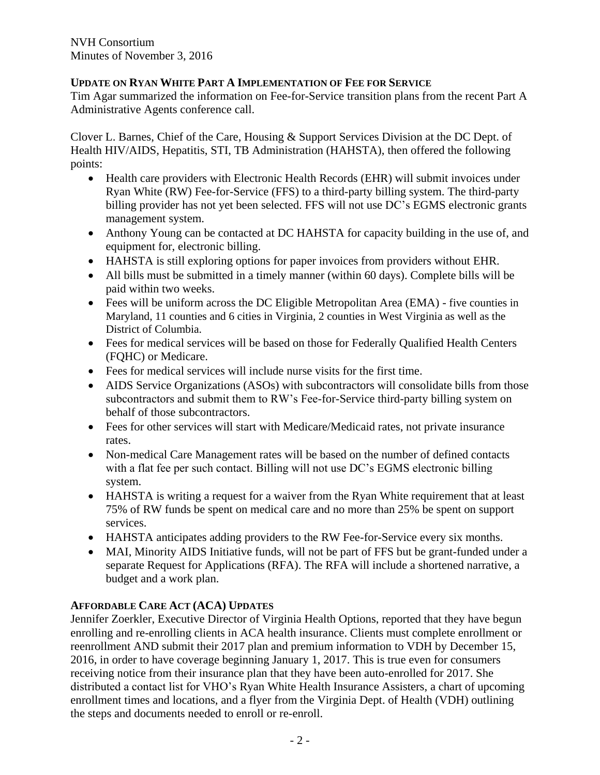# **UPDATE ON RYAN WHITE PART A IMPLEMENTATION OF FEE FOR SERVICE**

Tim Agar summarized the information on Fee-for-Service transition plans from the recent Part A Administrative Agents conference call.

Clover L. Barnes, Chief of the Care, Housing & Support Services Division at the DC Dept. of Health HIV/AIDS, Hepatitis, STI, TB Administration (HAHSTA), then offered the following points:

- Health care providers with Electronic Health Records (EHR) will submit invoices under Ryan White (RW) Fee-for-Service (FFS) to a third-party billing system. The third-party billing provider has not yet been selected. FFS will not use DC's EGMS electronic grants management system.
- Anthony Young can be contacted at DC HAHSTA for capacity building in the use of, and equipment for, electronic billing.
- HAHSTA is still exploring options for paper invoices from providers without EHR.
- All bills must be submitted in a timely manner (within 60 days). Complete bills will be paid within two weeks.
- Fees will be uniform across the DC Eligible Metropolitan Area (EMA) five counties in Maryland, 11 counties and 6 cities in Virginia, 2 counties in West Virginia as well as the District of Columbia.
- Fees for medical services will be based on those for Federally Qualified Health Centers (FQHC) or Medicare.
- Fees for medical services will include nurse visits for the first time.
- AIDS Service Organizations (ASOs) with subcontractors will consolidate bills from those subcontractors and submit them to RW's Fee-for-Service third-party billing system on behalf of those subcontractors.
- Fees for other services will start with Medicare/Medicaid rates, not private insurance rates.
- Non-medical Care Management rates will be based on the number of defined contacts with a flat fee per such contact. Billing will not use DC's EGMS electronic billing system.
- HAHSTA is writing a request for a waiver from the Ryan White requirement that at least 75% of RW funds be spent on medical care and no more than 25% be spent on support services.
- HAHSTA anticipates adding providers to the RW Fee-for-Service every six months.
- MAI, Minority AIDS Initiative funds, will not be part of FFS but be grant-funded under a separate Request for Applications (RFA). The RFA will include a shortened narrative, a budget and a work plan.

# **AFFORDABLE CARE ACT (ACA) UPDATES**

Jennifer Zoerkler, Executive Director of Virginia Health Options, reported that they have begun enrolling and re-enrolling clients in ACA health insurance. Clients must complete enrollment or reenrollment AND submit their 2017 plan and premium information to VDH by December 15, 2016, in order to have coverage beginning January 1, 2017. This is true even for consumers receiving notice from their insurance plan that they have been auto-enrolled for 2017. She distributed a contact list for VHO's Ryan White Health Insurance Assisters, a chart of upcoming enrollment times and locations, and a flyer from the Virginia Dept. of Health (VDH) outlining the steps and documents needed to enroll or re-enroll.